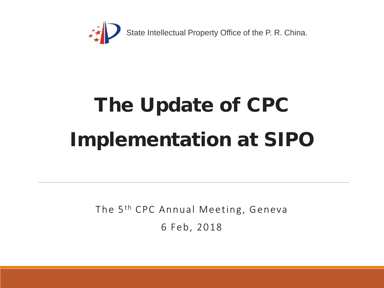

# The Update of CPC Implementation at SIPO

The 5<sup>th</sup> CPC Annual Meeting, Geneva 6 Feb, 2018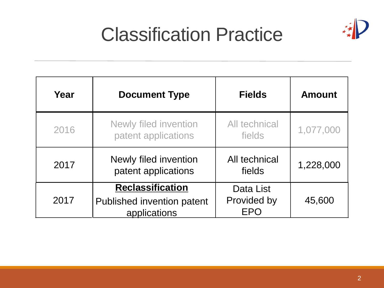

## Classification Practice

| Year | <b>Document Type</b>                                                  | <b>Fields</b>                          | <b>Amount</b> |
|------|-----------------------------------------------------------------------|----------------------------------------|---------------|
| 2016 | Newly filed invention<br>patent applications                          | All technical<br>fields                | 1,077,000     |
| 2017 | Newly filed invention<br>patent applications                          | All technical<br>fields                | 1,228,000     |
| 2017 | <b>Reclassification</b><br>Published invention patent<br>applications | Data List<br>Provided by<br><b>FPO</b> | 45,600        |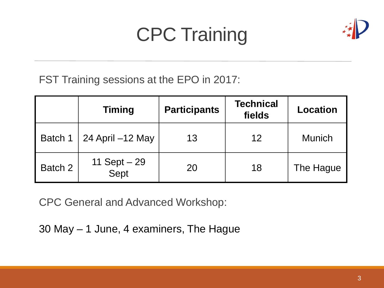## CPC Training



FST Training sessions at the EPO in 2017:

|         | <b>Timing</b>        | <b>Participants</b> | <b>Technical</b><br>fields | <b>Location</b> |
|---------|----------------------|---------------------|----------------------------|-----------------|
| Batch 1 | 24 April -12 May     | 13                  | 12                         | <b>Munich</b>   |
| Batch 2 | 11 Sept – 29<br>Sept | 20                  | 18                         | The Hague       |

CPC General and Advanced Workshop:

30 May – 1 June, 4 examiners, The Hague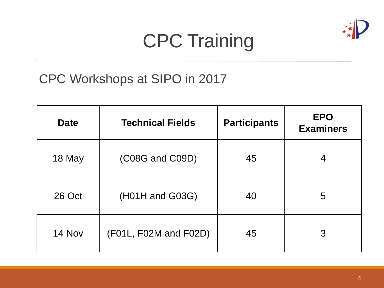

## CPC Training

#### CPC Workshops at SIPO in 2017

| <b>Date</b> | <b>Technical Fields</b> | <b>Participants</b> | <b>EPO</b><br><b>Examiners</b> |
|-------------|-------------------------|---------------------|--------------------------------|
| 18 May      | (C08G and C09D)         | 45                  | 4                              |
| 26 Oct      | (H01H and G03G)         | 40                  | 5                              |
| 14 Nov      | (F01L, F02M and F02D)   | 45                  | 3                              |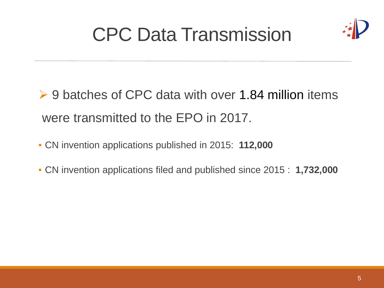## CPC Data Transmission



- **► 9 batches of CPC data with over 1.84 million items** were transmitted to the EPO in 2017.
- CN invention applications published in 2015: **112,000**
- CN invention applications filed and published since 2015 : **1,732,000**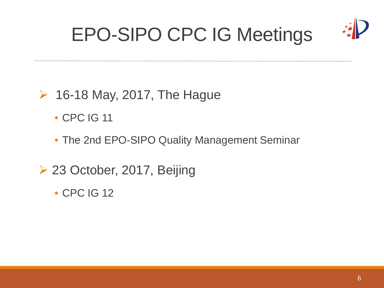## EPO-SIPO CPC IG Meetings



#### $\geq$  16-18 May, 2017, The Hague

- CPC IG 11
- The 2nd EPO-SIPO Quality Management Seminar
- ▶ 23 October, 2017, Beijing
	- CPC IG 12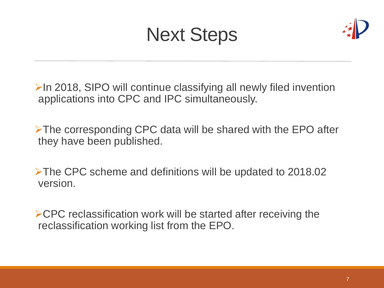## Next Steps



 $\triangleright$ In 2018, SIPO will continue classifying all newly filed invention applications into CPC and IPC simultaneously.

The corresponding CPC data will be shared with the EPO after they have been published.

The CPC scheme and definitions will be updated to 2018.02 version.

 $\triangle$ CPC reclassification work will be started after receiving the reclassification working list from the EPO.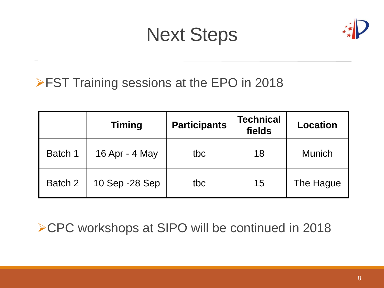## Next Steps



#### **FST Training sessions at the EPO in 2018**

|         | <b>Timing</b>  | <b>Participants</b> | <b>Technical</b><br>fields | <b>Location</b> |
|---------|----------------|---------------------|----------------------------|-----------------|
| Batch 1 | 16 Apr - 4 May | tbc                 | 18                         | <b>Munich</b>   |
| Batch 2 | 10 Sep -28 Sep | tbc                 | 15                         | The Hague       |

▶ CPC workshops at SIPO will be continued in 2018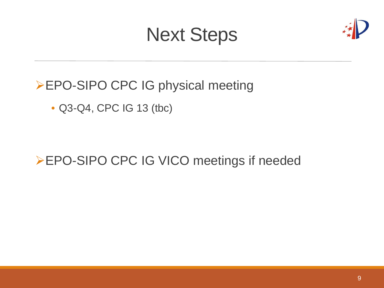## Next Steps



▶ EPO-SIPO CPC IG physical meeting

• Q3-Q4, CPC IG 13 (tbc)

▶ EPO-SIPO CPC IG VICO meetings if needed